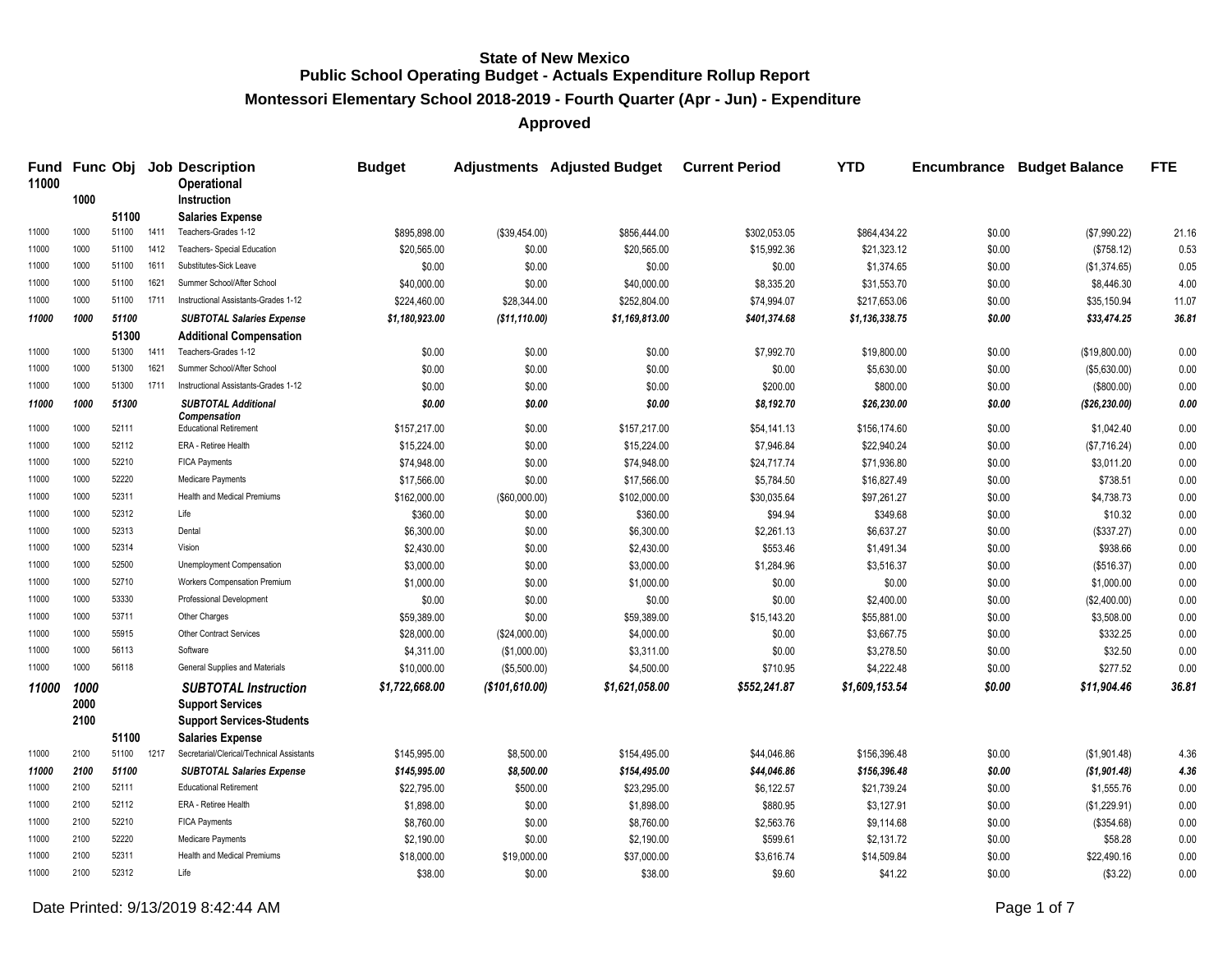**Montessori Elementary School 2018-2019 - Fourth Quarter (Apr - Jun) - Expenditure**

| <b>Fund</b><br>11000 |      |       |      | <b>Func Obj Job Description</b><br><b>Operational</b> | <b>Budget</b>  |                | Adjustments Adjusted Budget Current Period |              | <b>YTD</b>     | Encumbrance | <b>Budget Balance</b> | <b>FTE</b> |
|----------------------|------|-------|------|-------------------------------------------------------|----------------|----------------|--------------------------------------------|--------------|----------------|-------------|-----------------------|------------|
|                      | 1000 |       |      | <b>Instruction</b>                                    |                |                |                                            |              |                |             |                       |            |
|                      |      | 51100 |      | <b>Salaries Expense</b>                               |                |                |                                            |              |                |             |                       |            |
| 11000                | 1000 | 51100 | 1411 | Teachers-Grades 1-12                                  | \$895,898.00   | (\$39,454.00)  | \$856,444.00                               | \$302,053.05 | \$864,434.22   | \$0.00      | (\$7,990.22)          | 21.16      |
| 11000                | 1000 | 51100 | 1412 | Teachers- Special Education                           | \$20,565.00    | \$0.00         | \$20,565.00                                | \$15,992.36  | \$21,323.12    | \$0.00      | (\$758.12)            | 0.53       |
| 11000                | 1000 | 51100 | 1611 | Substitutes-Sick Leave                                | \$0.00         | \$0.00         | \$0.00                                     | \$0.00       | \$1,374.65     | \$0.00      | (\$1,374.65)          | 0.05       |
| 11000                | 1000 | 51100 | 1621 | Summer School/After School                            | \$40,000.00    | \$0.00         | \$40,000.00                                | \$8,335.20   | \$31,553.70    | \$0.00      | \$8,446.30            | 4.00       |
| 11000                | 1000 | 51100 | 1711 | Instructional Assistants-Grades 1-12                  | \$224,460.00   | \$28,344.00    | \$252,804.00                               | \$74,994.07  | \$217,653.06   | \$0.00      | \$35,150.94           | 11.07      |
| 11000                | 1000 | 51100 |      | <b>SUBTOTAL Salaries Expense</b>                      | \$1,180,923.00 | (\$11,110.00)  | \$1,169,813.00                             | \$401,374.68 | \$1,136,338.75 | \$0.00      | \$33,474.25           | 36.81      |
|                      |      | 51300 |      | <b>Additional Compensation</b>                        |                |                |                                            |              |                |             |                       |            |
| 11000                | 1000 | 51300 | 1411 | Teachers-Grades 1-12                                  | \$0.00         | \$0.00         | \$0.00                                     | \$7,992.70   | \$19,800.00    | \$0.00      | (\$19,800.00)         | 0.00       |
| 11000                | 1000 | 51300 | 1621 | Summer School/After School                            | \$0.00         | \$0.00         | \$0.00                                     | \$0.00       | \$5,630.00     | \$0.00      | (\$5,630.00)          | 0.00       |
| 11000                | 1000 | 51300 | 1711 | Instructional Assistants-Grades 1-12                  | \$0.00         | \$0.00         | \$0.00                                     | \$200.00     | \$800.00       | \$0.00      | (\$800.00)            | 0.00       |
| 11000                | 1000 | 51300 |      | <b>SUBTOTAL Additional</b>                            | \$0.00         | \$0.00         | \$0.00                                     | \$8,192.70   | \$26,230.00    | \$0.00      | ( \$26, 230.00)       | 0.00       |
| 11000                | 1000 | 52111 |      | Compensation<br><b>Educational Retirement</b>         | \$157,217.00   | \$0.00         | \$157,217.00                               | \$54,141.13  | \$156,174.60   | \$0.00      | \$1,042.40            | 0.00       |
| 11000                | 1000 | 52112 |      | ERA - Retiree Health                                  | \$15,224.00    | \$0.00         | \$15,224.00                                | \$7,946.84   | \$22,940.24    | \$0.00      | (\$7,716.24)          | 0.00       |
| 11000                | 1000 | 52210 |      | <b>FICA Payments</b>                                  | \$74,948.00    | \$0.00         | \$74,948.00                                | \$24,717.74  | \$71,936.80    | \$0.00      | \$3,011.20            | 0.00       |
| 11000                | 1000 | 52220 |      | Medicare Payments                                     | \$17,566.00    | \$0.00         | \$17,566.00                                | \$5,784.50   | \$16,827.49    | \$0.00      | \$738.51              | 0.00       |
| 11000                | 1000 | 52311 |      | <b>Health and Medical Premiums</b>                    | \$162,000.00   | (\$60,000.00)  | \$102,000.00                               | \$30,035.64  | \$97,261.27    | \$0.00      | \$4,738.73            | 0.00       |
| 11000                | 1000 | 52312 |      | Life                                                  | \$360.00       | \$0.00         | \$360.00                                   | \$94.94      | \$349.68       | \$0.00      | \$10.32               | 0.00       |
| 11000                | 1000 | 52313 |      | Dental                                                | \$6,300.00     | \$0.00         | \$6,300.00                                 | \$2,261.13   | \$6,637.27     | \$0.00      | (\$337.27)            | 0.00       |
| 11000                | 1000 | 52314 |      | Vision                                                | \$2,430.00     | \$0.00         | \$2,430.00                                 | \$553.46     | \$1,491.34     | \$0.00      | \$938.66              | 0.00       |
| 11000                | 1000 | 52500 |      | Unemployment Compensation                             | \$3,000.00     | \$0.00         | \$3,000.00                                 | \$1,284.96   | \$3,516.37     | \$0.00      | (\$516.37)            | 0.00       |
| 11000                | 1000 | 52710 |      | <b>Workers Compensation Premium</b>                   | \$1,000.00     | \$0.00         | \$1,000.00                                 | \$0.00       | \$0.00         | \$0.00      | \$1,000.00            | 0.00       |
| 11000                | 1000 | 53330 |      | Professional Development                              | \$0.00         | \$0.00         | \$0.00                                     | \$0.00       | \$2,400.00     | \$0.00      | (\$2,400.00)          | 0.00       |
| 11000                | 1000 | 53711 |      | Other Charges                                         | \$59,389.00    | \$0.00         | \$59,389.00                                | \$15,143.20  | \$55,881.00    | \$0.00      | \$3,508.00            | 0.00       |
| 11000                | 1000 | 55915 |      | <b>Other Contract Services</b>                        | \$28,000.00    | (\$24,000.00)  | \$4,000.00                                 | \$0.00       | \$3,667.75     | \$0.00      | \$332.25              | 0.00       |
| 11000                | 1000 | 56113 |      | Software                                              | \$4,311.00     | (\$1,000.00)   | \$3,311.00                                 | \$0.00       | \$3,278.50     | \$0.00      | \$32.50               | 0.00       |
| 11000                | 1000 | 56118 |      | General Supplies and Materials                        | \$10,000.00    | (\$5,500.00)   | \$4,500.00                                 | \$710.95     | \$4,222.48     | \$0.00      | \$277.52              | 0.00       |
| 11000                | 1000 |       |      | <b>SUBTOTAL Instruction</b>                           | \$1,722,668.00 | (\$101,610.00) | \$1,621,058.00                             | \$552,241.87 | \$1,609,153.54 | \$0.00      | \$11,904.46           | 36.81      |
|                      | 2000 |       |      | <b>Support Services</b>                               |                |                |                                            |              |                |             |                       |            |
|                      | 2100 |       |      | <b>Support Services-Students</b>                      |                |                |                                            |              |                |             |                       |            |
|                      |      | 51100 |      | <b>Salaries Expense</b>                               |                |                |                                            |              |                |             |                       |            |
| 11000                | 2100 | 51100 | 1217 | Secretarial/Clerical/Technical Assistants             | \$145,995.00   | \$8,500.00     | \$154,495.00                               | \$44,046.86  | \$156,396.48   | \$0.00      | (\$1,901.48)          | 4.36       |
| 11000                | 2100 | 51100 |      | <b>SUBTOTAL Salaries Expense</b>                      | \$145,995.00   | \$8,500.00     | \$154,495.00                               | \$44,046.86  | \$156,396.48   | \$0.00      | (\$1,901.48)          | 4.36       |
| 11000                | 2100 | 52111 |      | <b>Educational Retirement</b>                         | \$22,795.00    | \$500.00       | \$23,295.00                                | \$6,122.57   | \$21,739.24    | \$0.00      | \$1,555.76            | 0.00       |
| 11000                | 2100 | 52112 |      | ERA - Retiree Health                                  | \$1,898.00     | \$0.00         | \$1,898.00                                 | \$880.95     | \$3,127.91     | \$0.00      | (\$1,229.91)          | 0.00       |
| 11000                | 2100 | 52210 |      | <b>FICA Payments</b>                                  | \$8,760.00     | \$0.00         | \$8,760.00                                 | \$2,563.76   | \$9,114.68     | \$0.00      | (\$354.68)            | 0.00       |
| 11000                | 2100 | 52220 |      | Medicare Payments                                     | \$2,190.00     | \$0.00         | \$2,190.00                                 | \$599.61     | \$2,131.72     | \$0.00      | \$58.28               | 0.00       |
| 11000                | 2100 | 52311 |      | <b>Health and Medical Premiums</b>                    | \$18,000.00    | \$19,000.00    | \$37,000.00                                | \$3,616.74   | \$14,509.84    | \$0.00      | \$22,490.16           | 0.00       |
| 11000                | 2100 | 52312 |      | Life                                                  | \$38.00        | \$0.00         | \$38.00                                    | \$9.60       | \$41.22        | \$0.00      | (\$3.22)              | 0.00       |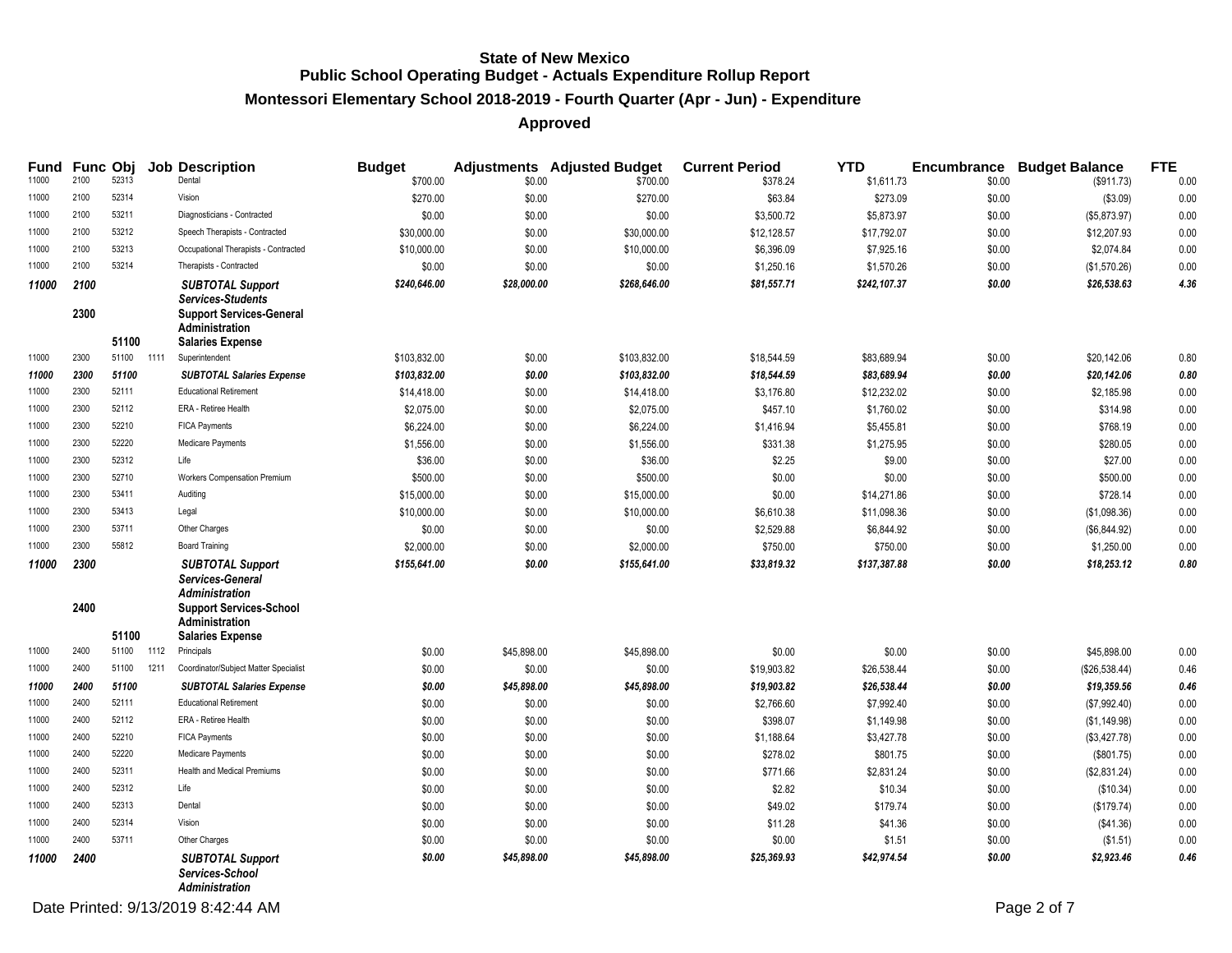# **Montessori Elementary School 2018-2019 - Fourth Quarter (Apr - Jun) - Expenditure**

|                |              |                |      | Fund Func Obj Job Description                                                                                                                              | <b>Budget</b> |             | <b>Adjustments</b> Adjusted Budget | <b>Current Period</b> | <b>YTD</b>   |        | <b>Encumbrance Budget Balance</b> | <b>FTE</b> |
|----------------|--------------|----------------|------|------------------------------------------------------------------------------------------------------------------------------------------------------------|---------------|-------------|------------------------------------|-----------------------|--------------|--------|-----------------------------------|------------|
| 11000<br>11000 | 2100<br>2100 | 52313<br>52314 |      | Dental<br>Vision                                                                                                                                           | \$700.00      | \$0.00      | \$700.00                           | \$378.24              | \$1,611.73   | \$0.00 | (\$911.73)                        | 0.00       |
|                |              |                |      |                                                                                                                                                            | \$270.00      | \$0.00      | \$270.00                           | \$63.84               | \$273.09     | \$0.00 | (\$3.09)                          | 0.00       |
| 11000          | 2100         | 53211          |      | Diagnosticians - Contracted                                                                                                                                | \$0.00        | \$0.00      | \$0.00                             | \$3,500.72            | \$5,873.97   | \$0.00 | (\$5,873.97)                      | 0.00       |
| 11000          | 2100         | 53212          |      | Speech Therapists - Contracted                                                                                                                             | \$30,000.00   | \$0.00      | \$30,000.00                        | \$12,128.57           | \$17,792.07  | \$0.00 | \$12,207.93                       | 0.00       |
| 11000          | 2100         | 53213          |      | Occupational Therapists - Contracted                                                                                                                       | \$10,000.00   | \$0.00      | \$10,000.00                        | \$6,396.09            | \$7,925.16   | \$0.00 | \$2,074.84                        | 0.00       |
| 11000          | 2100         | 53214          |      | Therapists - Contracted                                                                                                                                    | \$0.00        | \$0.00      | \$0.00                             | \$1,250.16            | \$1,570.26   | \$0.00 | (\$1,570.26)                      | 0.00       |
| 11000          | 2100<br>2300 | 51100          |      | <b>SUBTOTAL Support</b><br><b>Services-Students</b><br><b>Support Services-General</b><br><b>Administration</b><br><b>Salaries Expense</b>                 | \$240.646.00  | \$28,000.00 | \$268,646.00                       | \$81,557.71           | \$242,107.37 | \$0.00 | \$26,538.63                       | 4.36       |
| 11000          | 2300         | 51100          | 1111 | Superintendent                                                                                                                                             | \$103,832.00  | \$0.00      | \$103,832.00                       | \$18,544.59           | \$83,689.94  | \$0.00 | \$20,142.06                       | 0.80       |
| 11000          | 2300         | 51100          |      | <b>SUBTOTAL Salaries Expense</b>                                                                                                                           | \$103,832.00  | \$0.00      | \$103,832.00                       | \$18,544.59           | \$83,689.94  | \$0.00 | \$20,142.06                       | 0.80       |
| 11000          | 2300         | 52111          |      | <b>Educational Retirement</b>                                                                                                                              | \$14,418.00   | \$0.00      | \$14,418.00                        | \$3,176.80            | \$12,232.02  | \$0.00 | \$2,185.98                        | 0.00       |
| 11000          | 2300         | 52112          |      | ERA - Retiree Health                                                                                                                                       | \$2,075.00    | \$0.00      | \$2,075.00                         | \$457.10              | \$1,760.02   | \$0.00 | \$314.98                          | 0.00       |
| 11000          | 2300         | 52210          |      | <b>FICA Payments</b>                                                                                                                                       | \$6,224.00    | \$0.00      | \$6,224.00                         | \$1,416.94            | \$5,455.81   | \$0.00 | \$768.19                          | 0.00       |
| 11000          | 2300         | 52220          |      | Medicare Payments                                                                                                                                          | \$1,556.00    | \$0.00      | \$1,556.00                         | \$331.38              | \$1,275.95   | \$0.00 | \$280.05                          | 0.00       |
| 11000          | 2300         | 52312          |      | Life                                                                                                                                                       | \$36.00       | \$0.00      | \$36.00                            | \$2.25                | \$9.00       | \$0.00 | \$27.00                           | 0.00       |
| 11000          | 2300         | 52710          |      | <b>Workers Compensation Premium</b>                                                                                                                        | \$500.00      | \$0.00      | \$500.00                           | \$0.00                | \$0.00       | \$0.00 | \$500.00                          | 0.00       |
| 11000          | 2300         | 53411          |      | Auditing                                                                                                                                                   | \$15,000.00   | \$0.00      | \$15,000.00                        | \$0.00                | \$14,271.86  | \$0.00 | \$728.14                          | 0.00       |
| 11000          | 2300         | 53413          |      | Legal                                                                                                                                                      | \$10,000.00   | \$0.00      | \$10,000.00                        | \$6,610.38            | \$11,098.36  | \$0.00 | (\$1,098.36)                      | 0.00       |
| 11000          | 2300         | 53711          |      | Other Charges                                                                                                                                              | \$0.00        | \$0.00      | \$0.00                             | \$2,529.88            | \$6,844.92   | \$0.00 | (\$6,844.92)                      | 0.00       |
| 11000          | 2300         | 55812          |      | <b>Board Training</b>                                                                                                                                      | \$2,000.00    | \$0.00      | \$2,000.00                         | \$750.00              | \$750.00     | \$0.00 | \$1,250.00                        | 0.00       |
| 11000          | 2300<br>2400 | 51100          |      | <b>SUBTOTAL Support</b><br>Services-General<br><b>Administration</b><br><b>Support Services-School</b><br><b>Administration</b><br><b>Salaries Expense</b> | \$155,641.00  | \$0.00      | \$155,641.00                       | \$33,819.32           | \$137,387.88 | \$0.00 | \$18,253.12                       | 0.80       |
| 11000          | 2400         | 51100          | 1112 | Principals                                                                                                                                                 | \$0.00        | \$45,898.00 | \$45,898.00                        | \$0.00                | \$0.00       | \$0.00 | \$45,898.00                       | 0.00       |
| 11000          | 2400         | 51100          | 1211 | Coordinator/Subject Matter Specialist                                                                                                                      | \$0.00        | \$0.00      | \$0.00                             | \$19,903.82           | \$26,538.44  | \$0.00 | (\$26,538.44)                     | 0.46       |
| 11000          | 2400         | 51100          |      | <b>SUBTOTAL Salaries Expense</b>                                                                                                                           | \$0.00        | \$45,898.00 | \$45,898.00                        | \$19,903.82           | \$26,538.44  | \$0.00 | \$19,359.56                       | 0.46       |
| 11000          | 2400         | 52111          |      | <b>Educational Retirement</b>                                                                                                                              | \$0.00        | \$0.00      | \$0.00                             | \$2,766.60            | \$7,992.40   | \$0.00 | (\$7,992.40)                      | 0.00       |
| 11000          | 2400         | 52112          |      | ERA - Retiree Health                                                                                                                                       | \$0.00        | \$0.00      | \$0.00                             | \$398.07              | \$1,149.98   | \$0.00 | (\$1,149.98)                      | 0.00       |
| 11000          | 2400         | 52210          |      | <b>FICA Payments</b>                                                                                                                                       | \$0.00        | \$0.00      | \$0.00                             | \$1,188.64            | \$3,427.78   | \$0.00 | (\$3,427.78)                      | 0.00       |
| 11000          | 2400         | 52220          |      | Medicare Payments                                                                                                                                          | \$0.00        | \$0.00      | \$0.00                             | \$278.02              | \$801.75     | \$0.00 | (\$801.75)                        | 0.00       |
| 11000          | 2400         | 52311          |      | Health and Medical Premiums                                                                                                                                | \$0.00        | \$0.00      | \$0.00                             | \$771.66              | \$2,831.24   | \$0.00 | (\$2,831.24)                      | 0.00       |
| 11000          | 2400         | 52312          |      | Life                                                                                                                                                       | \$0.00        | \$0.00      | \$0.00                             | \$2.82                | \$10.34      | \$0.00 | (\$10.34)                         | 0.00       |
| 11000          | 2400         | 52313          |      | Dental                                                                                                                                                     | \$0.00        | \$0.00      | \$0.00                             | \$49.02               | \$179.74     | \$0.00 | (\$179.74)                        | 0.00       |
| 11000          | 2400         | 52314          |      | Vision                                                                                                                                                     | \$0.00        | \$0.00      | \$0.00                             | \$11.28               | \$41.36      | \$0.00 | (\$41.36)                         | 0.00       |
| 11000          | 2400         | 53711          |      | Other Charges                                                                                                                                              | \$0.00        | \$0.00      | \$0.00                             | \$0.00                | \$1.51       | \$0.00 | (\$1.51)                          | 0.00       |
| 11000          | 2400         |                |      | <b>SUBTOTAL Support</b><br>Services-School<br><b>Administration</b>                                                                                        | \$0.00        | \$45,898.00 | \$45,898.00                        | \$25,369.93           | \$42,974.54  | \$0.00 | \$2,923.46                        | 0.46       |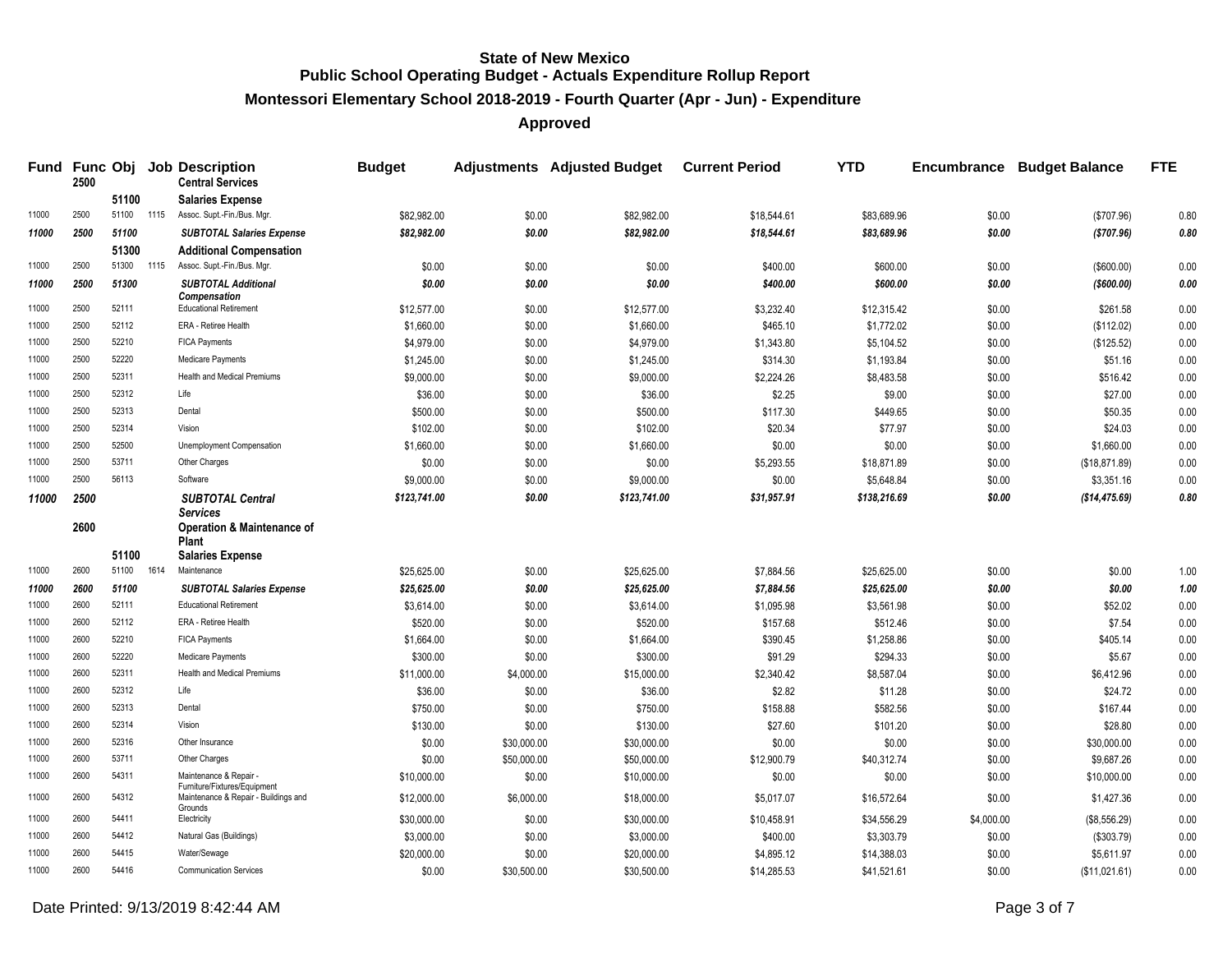**Montessori Elementary School 2018-2019 - Fourth Quarter (Apr - Jun) - Expenditure**

| Fund  | 2500         |       |      | <b>Func Obj Job Description</b><br><b>Central Services</b>                      | <b>Budget</b> |             | <b>Adjustments Adjusted Budget</b> | <b>Current Period</b> | <b>YTD</b>   |            | <b>Encumbrance Budget Balance</b> | <b>FTE</b> |
|-------|--------------|-------|------|---------------------------------------------------------------------------------|---------------|-------------|------------------------------------|-----------------------|--------------|------------|-----------------------------------|------------|
|       |              | 51100 |      | <b>Salaries Expense</b>                                                         |               |             |                                    |                       |              |            |                                   |            |
| 11000 | 2500         | 51100 | 1115 | Assoc. Supt.-Fin./Bus. Mgr.                                                     | \$82,982.00   | \$0.00      | \$82,982.00                        | \$18,544.61           | \$83,689.96  | \$0.00     | (\$707.96)                        | 0.80       |
| 11000 | 2500         | 51100 |      | <b>SUBTOTAL Salaries Expense</b>                                                | \$82,982.00   | \$0.00      | \$82,982.00                        | \$18,544.61           | \$83,689.96  | \$0.00     | (\$707.96)                        | 0.80       |
|       |              | 51300 |      | <b>Additional Compensation</b>                                                  |               |             |                                    |                       |              |            |                                   |            |
| 11000 | 2500         | 51300 | 1115 | Assoc. Supt.-Fin./Bus. Mgr.                                                     | \$0.00        | \$0.00      | \$0.00                             | \$400.00              | \$600.00     | \$0.00     | (\$600.00)                        | 0.00       |
| 11000 | 2500         | 51300 |      | <b>SUBTOTAL Additional</b>                                                      | \$0.00        | \$0.00      | \$0.00                             | \$400.00              | \$600.00     | \$0.00     | ( \$600.00)                       | 0.00       |
| 11000 | 2500         | 52111 |      | <b>Compensation</b><br><b>Educational Retirement</b>                            | \$12,577.00   | \$0.00      | \$12,577.00                        | \$3,232.40            | \$12,315.42  | \$0.00     | \$261.58                          | 0.00       |
| 11000 | 2500         | 52112 |      | <b>ERA - Retiree Health</b>                                                     | \$1,660.00    | \$0.00      | \$1,660.00                         | \$465.10              | \$1,772.02   | \$0.00     | (\$112.02)                        | 0.00       |
| 11000 | 2500         | 52210 |      | <b>FICA Payments</b>                                                            | \$4,979.00    | \$0.00      | \$4,979.00                         | \$1,343.80            | \$5,104.52   | \$0.00     | (\$125.52)                        | 0.00       |
| 11000 | 2500         | 52220 |      | Medicare Payments                                                               | \$1,245.00    | \$0.00      | \$1,245.00                         | \$314.30              | \$1,193.84   | \$0.00     | \$51.16                           | 0.00       |
| 11000 | 2500         | 52311 |      | Health and Medical Premiums                                                     | \$9,000.00    | \$0.00      | \$9,000.00                         | \$2,224.26            | \$8,483.58   | \$0.00     | \$516.42                          | 0.00       |
| 11000 | 2500         | 52312 |      | Life                                                                            | \$36.00       | \$0.00      | \$36.00                            | \$2.25                | \$9.00       | \$0.00     | \$27.00                           | 0.00       |
| 11000 | 2500         | 52313 |      | Dental                                                                          | \$500.00      | \$0.00      | \$500.00                           | \$117.30              | \$449.65     | \$0.00     | \$50.35                           | 0.00       |
| 11000 | 2500         | 52314 |      | Vision                                                                          | \$102.00      | \$0.00      | \$102.00                           | \$20.34               | \$77.97      | \$0.00     | \$24.03                           | 0.00       |
| 11000 | 2500         | 52500 |      | Unemployment Compensation                                                       | \$1,660.00    | \$0.00      | \$1,660.00                         | \$0.00                | \$0.00       | \$0.00     | \$1,660.00                        | 0.00       |
| 11000 | 2500         | 53711 |      | Other Charges                                                                   | \$0.00        | \$0.00      | \$0.00                             | \$5,293.55            | \$18,871.89  | \$0.00     | (\$18,871.89)                     | 0.00       |
| 11000 | 2500         | 56113 |      | Software                                                                        | \$9,000.00    | \$0.00      | \$9,000.00                         | \$0.00                | \$5,648.84   | \$0.00     | \$3,351.16                        | 0.00       |
| 11000 | 2500<br>2600 |       |      | <b>SUBTOTAL Central</b><br>Services<br><b>Operation &amp; Maintenance of</b>    | \$123,741.00  | \$0.00      | \$123,741.00                       | \$31,957.91           | \$138,216.69 | \$0.00     | (\$14,475.69)                     | 0.80       |
|       |              | 51100 |      | Plant<br><b>Salaries Expense</b>                                                |               |             |                                    |                       |              |            |                                   |            |
| 11000 | 2600         | 51100 | 1614 | Maintenance                                                                     | \$25,625.00   | \$0.00      | \$25,625.00                        | \$7,884.56            | \$25,625.00  | \$0.00     | \$0.00                            | 1.00       |
| 11000 | 2600         | 51100 |      | <b>SUBTOTAL Salaries Expense</b>                                                | \$25,625.00   | \$0.00      | \$25,625.00                        | \$7,884.56            | \$25,625.00  | \$0.00     | \$0.00                            | 1.00       |
| 11000 | 2600         | 52111 |      | <b>Educational Retirement</b>                                                   | \$3,614.00    | \$0.00      | \$3,614.00                         | \$1,095.98            | \$3,561.98   | \$0.00     | \$52.02                           | 0.00       |
| 11000 | 2600         | 52112 |      | <b>ERA - Retiree Health</b>                                                     | \$520.00      | \$0.00      | \$520.00                           | \$157.68              | \$512.46     | \$0.00     | \$7.54                            | 0.00       |
| 11000 | 2600         | 52210 |      | <b>FICA Payments</b>                                                            | \$1,664.00    | \$0.00      | \$1,664.00                         | \$390.45              | \$1,258.86   | \$0.00     | \$405.14                          | 0.00       |
| 11000 | 2600         | 52220 |      | Medicare Payments                                                               | \$300.00      | \$0.00      | \$300.00                           | \$91.29               | \$294.33     | \$0.00     | \$5.67                            | 0.00       |
| 11000 | 2600         | 52311 |      | Health and Medical Premiums                                                     | \$11,000.00   | \$4,000.00  | \$15,000.00                        | \$2,340.42            | \$8,587.04   | \$0.00     | \$6,412.96                        | 0.00       |
| 11000 | 2600         | 52312 |      | Life                                                                            | \$36.00       | \$0.00      | \$36.00                            | \$2.82                | \$11.28      | \$0.00     | \$24.72                           | 0.00       |
| 11000 | 2600         | 52313 |      | Dental                                                                          | \$750.00      | \$0.00      | \$750.00                           | \$158.88              | \$582.56     | \$0.00     | \$167.44                          | 0.00       |
| 11000 | 2600         | 52314 |      | Vision                                                                          | \$130.00      | \$0.00      | \$130.00                           | \$27.60               | \$101.20     | \$0.00     | \$28.80                           | 0.00       |
| 11000 | 2600         | 52316 |      | Other Insurance                                                                 | \$0.00        | \$30,000.00 | \$30,000.00                        | \$0.00                | \$0.00       | \$0.00     | \$30,000.00                       | 0.00       |
| 11000 | 2600         | 53711 |      | Other Charges                                                                   | \$0.00        | \$50,000.00 | \$50,000.00                        | \$12,900.79           | \$40,312.74  | \$0.00     | \$9,687.26                        | 0.00       |
| 11000 | 2600         | 54311 |      | Maintenance & Repair                                                            | \$10,000.00   | \$0.00      | \$10,000.00                        | \$0.00                | \$0.00       | \$0.00     | \$10,000.00                       | 0.00       |
| 11000 | 2600         | 54312 |      | Furniture/Fixtures/Equipment<br>Maintenance & Repair - Buildings and<br>Grounds | \$12,000.00   | \$6,000.00  | \$18,000.00                        | \$5,017.07            | \$16,572.64  | \$0.00     | \$1,427.36                        | 0.00       |
| 11000 | 2600         | 54411 |      | Electricity                                                                     | \$30,000.00   | \$0.00      | \$30,000.00                        | \$10,458.91           | \$34,556.29  | \$4,000.00 | (\$8,556.29)                      | 0.00       |
| 11000 | 2600         | 54412 |      | Natural Gas (Buildings)                                                         | \$3,000.00    | \$0.00      | \$3,000.00                         | \$400.00              | \$3,303.79   | \$0.00     | (\$303.79)                        | 0.00       |
| 11000 | 2600         | 54415 |      | Water/Sewage                                                                    | \$20,000.00   | \$0.00      | \$20,000.00                        | \$4,895.12            | \$14,388.03  | \$0.00     | \$5,611.97                        | 0.00       |
| 11000 | 2600         | 54416 |      | <b>Communication Services</b>                                                   | \$0.00        | \$30,500.00 | \$30,500.00                        | \$14,285.53           | \$41,521.61  | \$0.00     | (\$11,021.61)                     | 0.00       |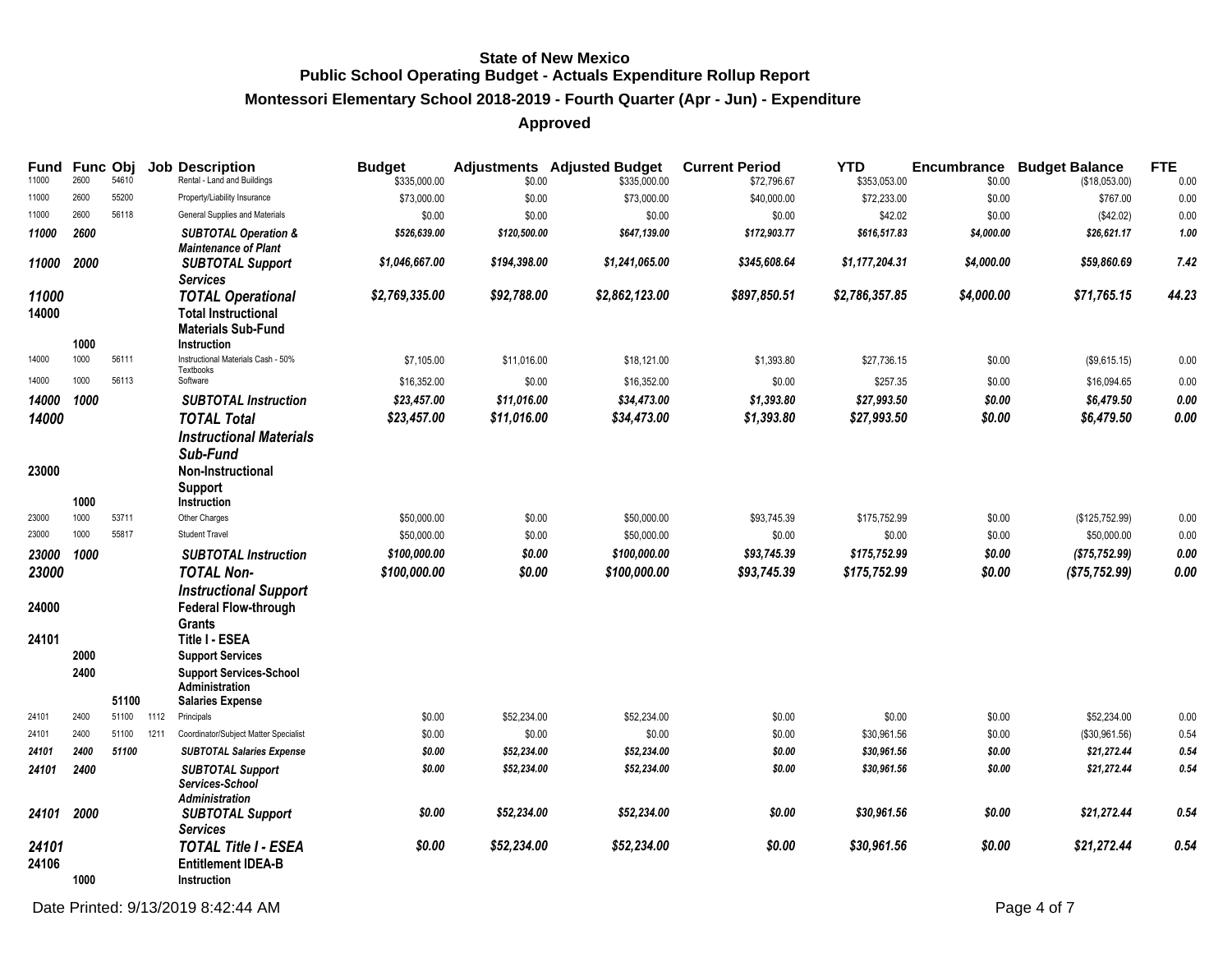# **Montessori Elementary School 2018-2019 - Fourth Quarter (Apr - Jun) - Expenditure**

| Fund<br>11000  | Func Obj<br>2600 | 54610 |      | <b>Job Description</b><br>Rental - Land and Buildings                                            | <b>Budget</b><br>\$335,000.00 | \$0.00       | <b>Adjustments</b> Adjusted Budget<br>\$335,000.00 | <b>Current Period</b><br>\$72,796.67 | <b>YTD</b><br>\$353,053.00 | Encumbrance<br>\$0.00 | <b>Budget Balance</b><br>(\$18,053.00) | <b>FTE</b><br>0.00 |
|----------------|------------------|-------|------|--------------------------------------------------------------------------------------------------|-------------------------------|--------------|----------------------------------------------------|--------------------------------------|----------------------------|-----------------------|----------------------------------------|--------------------|
| 11000          | 2600             | 55200 |      | Property/Liability Insurance                                                                     | \$73,000.00                   | \$0.00       | \$73,000.00                                        | \$40,000.00                          | \$72,233.00                | \$0.00                | \$767.00                               | 0.00               |
| 11000          | 2600             | 56118 |      | General Supplies and Materials                                                                   | \$0.00                        | \$0.00       | \$0.00                                             | \$0.00                               | \$42.02                    | \$0.00                | (\$42.02)                              | 0.00               |
| 11000          | 2600             |       |      | <b>SUBTOTAL Operation &amp;</b><br><b>Maintenance of Plant</b>                                   | \$526,639.00                  | \$120,500.00 | \$647,139.00                                       | \$172,903.77                         | \$616,517.83               | \$4,000.00            | \$26,621.17                            | 1.00               |
| 11000          | 2000             |       |      | <b>SUBTOTAL Support</b><br>Services                                                              | \$1,046,667.00                | \$194,398.00 | \$1,241,065.00                                     | \$345,608.64                         | \$1,177,204.31             | \$4,000.00            | \$59,860.69                            | 7.42               |
| 11000<br>14000 |                  |       |      | <b>TOTAL Operational</b><br><b>Total Instructional</b><br><b>Materials Sub-Fund</b>              | \$2,769,335.00                | \$92,788.00  | \$2,862,123.00                                     | \$897,850.51                         | \$2,786,357.85             | \$4,000.00            | \$71,765.15                            | 44.23              |
| 14000          | 1000<br>1000     | 56111 |      | Instruction<br>Instructional Materials Cash - 50%                                                | \$7,105.00                    | \$11,016.00  | \$18,121.00                                        | \$1,393.80                           | \$27,736.15                |                       |                                        |                    |
|                |                  |       |      | Textbooks                                                                                        |                               |              |                                                    |                                      |                            | \$0.00                | (\$9,615.15)                           | 0.00               |
| 14000          | 1000             | 56113 |      | Software                                                                                         | \$16,352.00                   | \$0.00       | \$16,352.00                                        | \$0.00                               | \$257.35                   | \$0.00                | \$16,094.65                            | 0.00               |
| 14000          | 1000             |       |      | <b>SUBTOTAL Instruction</b>                                                                      | \$23,457.00                   | \$11,016.00  | \$34,473.00                                        | \$1,393.80                           | \$27,993.50                | \$0.00                | \$6,479.50                             | 0.00               |
| 14000          |                  |       |      | <b>TOTAL Total</b>                                                                               | \$23,457.00                   | \$11,016.00  | \$34,473.00                                        | \$1,393.80                           | \$27,993.50                | \$0.00                | \$6,479.50                             | 0.00               |
| 23000          | 1000             |       |      | <b>Instructional Materials</b><br>Sub-Fund<br>Non-Instructional<br><b>Support</b><br>Instruction |                               |              |                                                    |                                      |                            |                       |                                        |                    |
| 23000          | 1000             | 53711 |      | Other Charges                                                                                    | \$50,000.00                   | \$0.00       | \$50,000.00                                        | \$93,745.39                          | \$175,752.99               | \$0.00                | (\$125,752.99)                         | 0.00               |
| 23000          | 1000             | 55817 |      | <b>Student Travel</b>                                                                            | \$50,000.00                   | \$0.00       | \$50,000.00                                        | \$0.00                               | \$0.00                     | \$0.00                | \$50,000.00                            | 0.00               |
| 23000          | 1000             |       |      | <b>SUBTOTAL Instruction</b>                                                                      | \$100,000.00                  | \$0.00       | \$100,000.00                                       | \$93,745.39                          | \$175,752.99               | \$0.00                | (\$75,752.99)                          | 0.00               |
| 23000          |                  |       |      | <b>TOTAL Non-</b>                                                                                | \$100,000.00                  | \$0.00       | \$100,000.00                                       | \$93,745.39                          | \$175,752.99               | \$0.00                | (\$75, 752.99)                         | 0.00               |
|                |                  |       |      | <b>Instructional Support</b>                                                                     |                               |              |                                                    |                                      |                            |                       |                                        |                    |
| 24000          |                  |       |      | <b>Federal Flow-through</b><br>Grants                                                            |                               |              |                                                    |                                      |                            |                       |                                        |                    |
| 24101          |                  |       |      | Title I - ESEA                                                                                   |                               |              |                                                    |                                      |                            |                       |                                        |                    |
|                | 2000             |       |      | <b>Support Services</b>                                                                          |                               |              |                                                    |                                      |                            |                       |                                        |                    |
|                | 2400             |       |      | <b>Support Services-School</b><br><b>Administration</b>                                          |                               |              |                                                    |                                      |                            |                       |                                        |                    |
|                |                  | 51100 |      | <b>Salaries Expense</b>                                                                          |                               |              |                                                    |                                      |                            |                       |                                        |                    |
| 24101          | 2400             | 51100 | 1112 | Principals                                                                                       | \$0.00                        | \$52,234.00  | \$52,234.00                                        | \$0.00                               | \$0.00                     | \$0.00                | \$52,234.00                            | 0.00               |
| 24101          | 2400             | 51100 | 1211 | Coordinator/Subject Matter Specialist                                                            | \$0.00                        | \$0.00       | \$0.00                                             | \$0.00                               | \$30,961.56                | \$0.00                | (\$30,961.56)                          | 0.54               |
| 24101          | 2400             | 51100 |      | <b>SUBTOTAL Salaries Expense</b>                                                                 | \$0.00                        | \$52,234.00  | \$52,234.00                                        | \$0.00                               | \$30,961.56                | \$0.00                | \$21,272.44                            | 0.54               |
| 24101          | 2400             |       |      | <b>SUBTOTAL Support</b><br>Services-School                                                       | \$0.00                        | \$52,234.00  | \$52,234.00                                        | \$0.00                               | \$30,961.56                | \$0.00                | \$21,272.44                            | 0.54               |
| 24101          | 2000             |       |      | <b>Administration</b><br><b>SUBTOTAL Support</b><br><b>Services</b>                              | \$0.00                        | \$52,234.00  | \$52,234.00                                        | \$0.00                               | \$30,961.56                | \$0.00                | \$21,272.44                            | 0.54               |
| 24101<br>24106 |                  |       |      | <b>TOTAL Title I - ESEA</b><br><b>Entitlement IDEA-B</b>                                         | \$0.00                        | \$52,234.00  | \$52,234.00                                        | \$0.00                               | \$30,961.56                | \$0.00                | \$21,272.44                            | 0.54               |
|                | 1000             |       |      | Instruction                                                                                      |                               |              |                                                    |                                      |                            |                       |                                        |                    |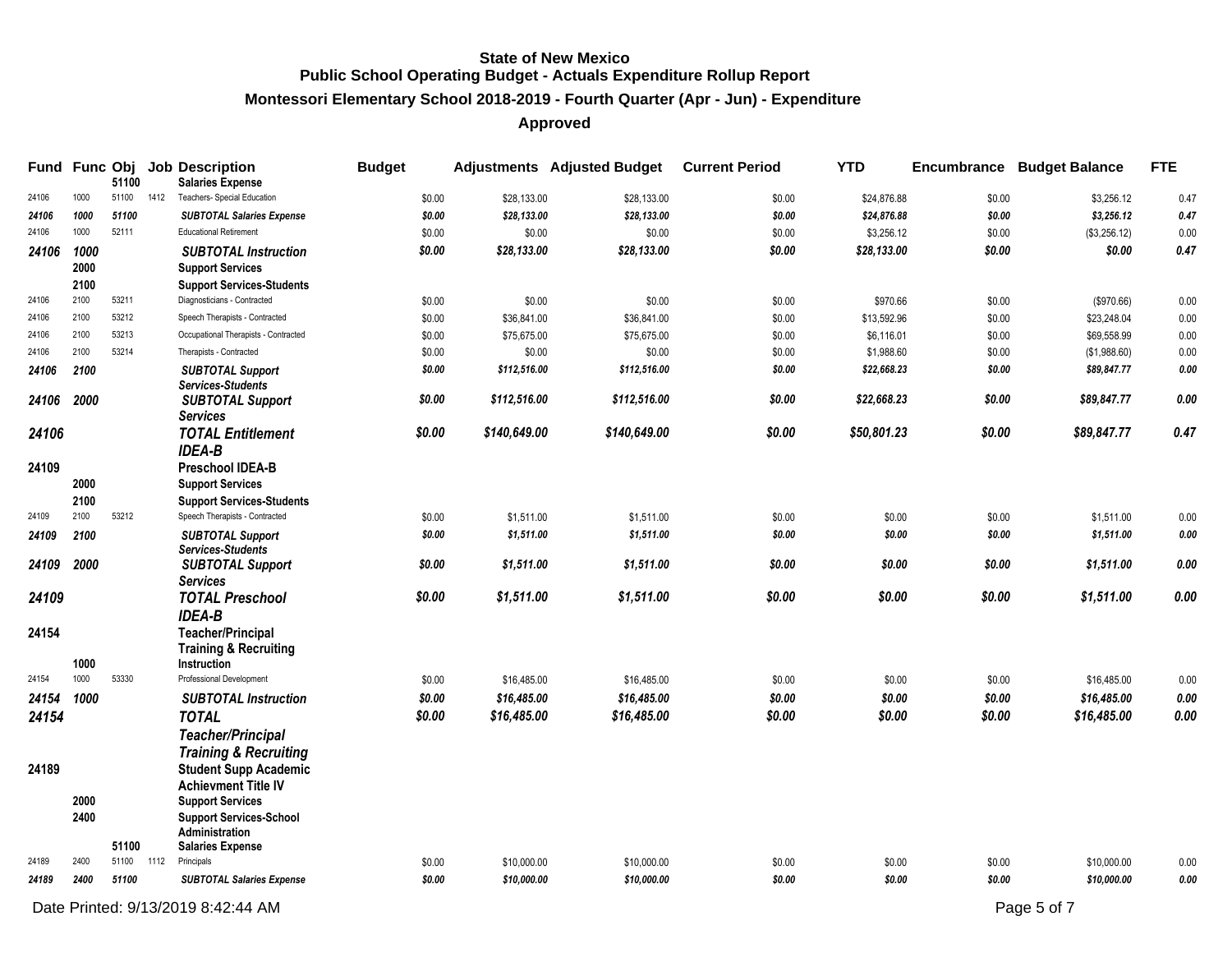# **Montessori Elementary School 2018-2019 - Fourth Quarter (Apr - Jun) - Expenditure**

# **Approved**

|                |                      | 51100      |      | Fund Func Obj Job Description<br><b>Salaries Expense</b>                                   | <b>Budget</b> |              | <b>Adjustments Adjusted Budget</b> | <b>Current Period</b> | <b>YTD</b>  |        | <b>Encumbrance Budget Balance</b> | <b>FTE</b> |
|----------------|----------------------|------------|------|--------------------------------------------------------------------------------------------|---------------|--------------|------------------------------------|-----------------------|-------------|--------|-----------------------------------|------------|
| 24106          | 1000                 | 51100      | 1412 | Teachers- Special Education                                                                | \$0.00        | \$28,133.00  | \$28,133.00                        | \$0.00                | \$24,876.88 | \$0.00 | \$3,256.12                        | 0.47       |
| 24106          | 1000                 | 51100      |      | <b>SUBTOTAL Salaries Expense</b>                                                           | \$0.00        | \$28,133.00  | \$28,133.00                        | \$0.00                | \$24,876.88 | \$0.00 | \$3,256.12                        | 0.47       |
| 24106          | 1000                 | 52111      |      | <b>Educational Retirement</b>                                                              | \$0.00        | \$0.00       | \$0.00                             | \$0.00                | \$3,256.12  | \$0.00 | (\$3,256.12)                      | 0.00       |
| 24106          | 1000<br>2000<br>2100 |            |      | <b>SUBTOTAL Instruction</b><br><b>Support Services</b><br><b>Support Services-Students</b> | \$0.00        | \$28,133.00  | \$28,133.00                        | \$0.00                | \$28,133.00 | \$0.00 | \$0.00                            | 0.47       |
| 24106          | 2100                 | 53211      |      | Diagnosticians - Contracted                                                                | \$0.00        | \$0.00       | \$0.00                             | \$0.00                | \$970.66    | \$0.00 | (\$970.66)                        | 0.00       |
| 24106          | 2100                 | 53212      |      | Speech Therapists - Contracted                                                             | \$0.00        | \$36,841.00  | \$36,841.00                        | \$0.00                | \$13,592.96 | \$0.00 | \$23,248.04                       | 0.00       |
| 24106          | 2100                 | 53213      |      | Occupational Therapists - Contracted                                                       | \$0.00        | \$75,675.00  | \$75,675.00                        | \$0.00                | \$6,116.01  | \$0.00 | \$69,558.99                       | 0.00       |
| 24106          | 2100                 | 53214      |      | Therapists - Contracted                                                                    | \$0.00        | \$0.00       | \$0.00                             | \$0.00                | \$1,988.60  | \$0.00 | (\$1,988.60)                      | 0.00       |
| 24106          | 2100                 |            |      | <b>SUBTOTAL Support</b><br><b>Services-Students</b>                                        | \$0.00        | \$112,516.00 | \$112,516.00                       | \$0.00                | \$22,668.23 | \$0.00 | \$89,847.77                       | 0.00       |
| 24106          | 2000                 |            |      | <b>SUBTOTAL Support</b><br><b>Services</b>                                                 | \$0.00        | \$112,516.00 | \$112,516.00                       | \$0.00                | \$22,668.23 | \$0.00 | \$89,847.77                       | 0.00       |
| 24106<br>24109 |                      |            |      | <b>TOTAL Entitlement</b><br><b>IDEA-B</b><br><b>Preschool IDEA-B</b>                       | \$0.00        | \$140,649.00 | \$140,649.00                       | \$0.00                | \$50,801.23 | \$0.00 | \$89,847.77                       | 0.47       |
|                | 2000                 |            |      | <b>Support Services</b>                                                                    |               |              |                                    |                       |             |        |                                   |            |
| 24109          | 2100<br>2100         | 53212      |      | <b>Support Services-Students</b><br>Speech Therapists - Contracted                         | \$0.00        | \$1,511.00   | \$1,511.00                         | \$0.00                | \$0.00      | \$0.00 | \$1,511.00                        | 0.00       |
| 24109          | 2100                 |            |      | <b>SUBTOTAL Support</b><br><b>Services-Students</b>                                        | \$0.00        | \$1,511.00   | \$1,511.00                         | \$0.00                | \$0.00      | \$0.00 | \$1,511.00                        | 0.00       |
| 24109          | 2000                 |            |      | <b>SUBTOTAL Support</b><br><b>Services</b>                                                 | \$0.00        | \$1,511.00   | \$1,511.00                         | \$0.00                | \$0.00      | \$0.00 | \$1,511.00                        | 0.00       |
| 24109          |                      |            |      | <b>TOTAL Preschool</b><br><b>IDEA-B</b>                                                    | \$0.00        | \$1,511.00   | \$1,511.00                         | \$0.00                | \$0.00      | \$0.00 | \$1,511.00                        | 0.00       |
| 24154          | 1000                 |            |      | <b>Teacher/Principal</b><br><b>Training &amp; Recruiting</b><br>Instruction                |               |              |                                    |                       |             |        |                                   |            |
| 24154          | 1000                 | 53330      |      | Professional Development                                                                   | \$0.00        | \$16,485.00  | \$16,485.00                        | \$0.00                | \$0.00      | \$0.00 | \$16,485.00                       | 0.00       |
| 24154          | 1000                 |            |      | <b>SUBTOTAL Instruction</b>                                                                | \$0.00        | \$16,485.00  | \$16,485.00                        | \$0.00                | \$0.00      | \$0.00 | \$16,485.00                       | 0.00       |
| 24154          |                      |            |      | <b>TOTAL</b><br><b>Teacher/Principal</b><br><b>Training &amp; Recruiting</b>               | \$0.00        | \$16,485.00  | \$16,485.00                        | \$0.00                | \$0.00      | \$0.00 | \$16,485.00                       | 0.00       |
| 24189          | 2000                 |            |      | <b>Student Supp Academic</b><br>Achievment Title IV<br><b>Support Services</b>             |               |              |                                    |                       |             |        |                                   |            |
|                | 2400                 | 51100      |      | <b>Support Services-School</b><br>Administration<br><b>Salaries Expense</b>                |               |              |                                    |                       |             |        |                                   |            |
| 24189          | 2400                 | 51100 1112 |      | Principals                                                                                 | \$0.00        | \$10,000.00  | \$10,000.00                        | \$0.00                | \$0.00      | \$0.00 | \$10,000.00                       | 0.00       |
| 24189          | 2400                 | 51100      |      | <b>SUBTOTAL Salaries Expense</b>                                                           | \$0.00        | \$10,000.00  | \$10,000.00                        | \$0.00                | \$0.00      | \$0.00 | \$10,000.00                       | 0.00       |

Date Printed:  $9/13/20198.22.44$  AM Page 5 of 7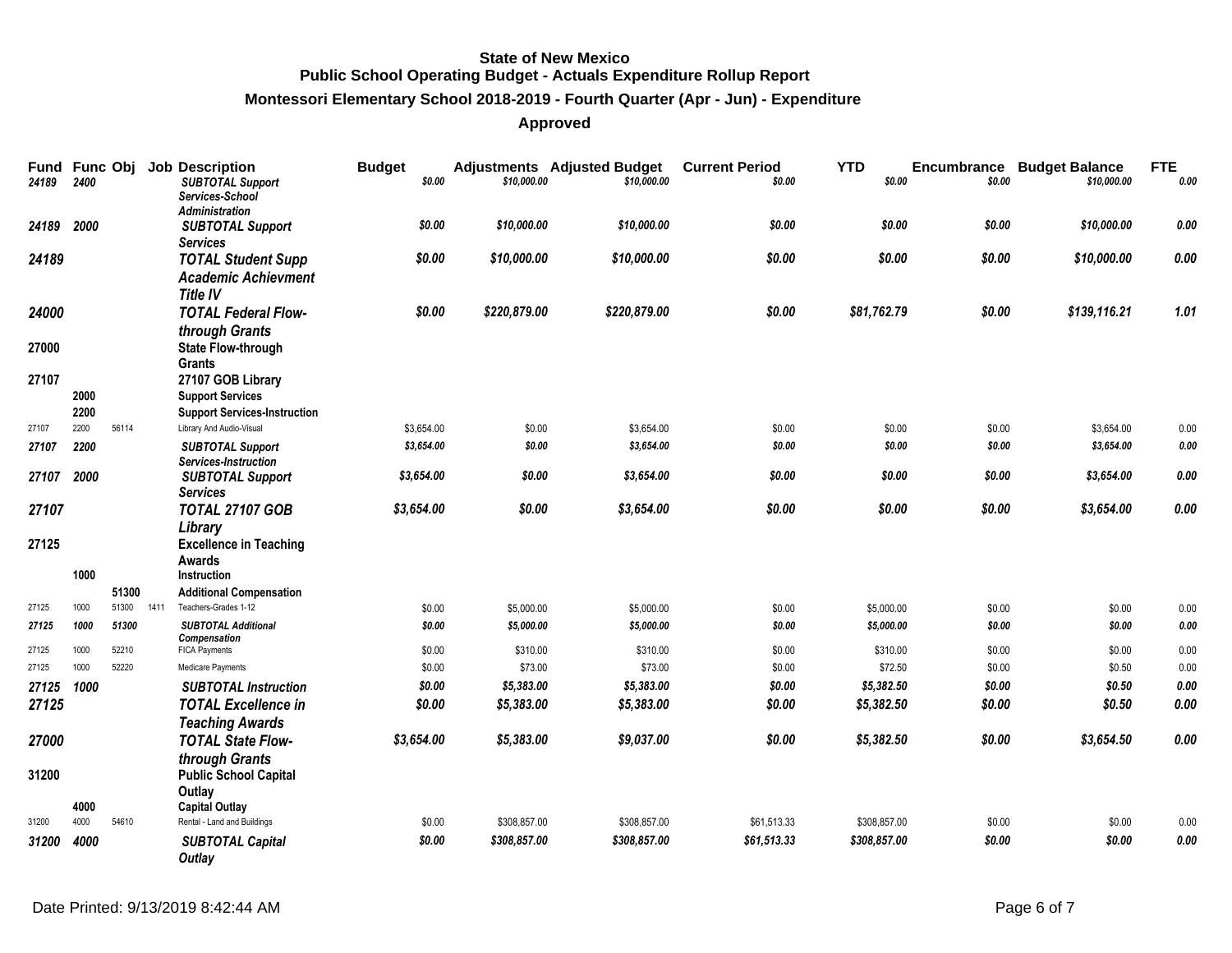# **Montessori Elementary School 2018-2019 - Fourth Quarter (Apr - Jun) - Expenditure**

| Fund Func Obj<br>24189 | 2400 |       |      | <b>Job Description</b><br><b>SUBTOTAL Support</b><br>Services-School | <b>Budget</b><br>\$0.00 | \$10,000.00  | <b>Adjustments</b> Adjusted Budget<br>\$10,000.00 | <b>Current Period</b><br>\$0.00 | <b>YTD</b><br>\$0.00 | \$0.00 | <b>Encumbrance Budget Balance</b><br>\$10,000.00 | <b>FTE</b><br>0.00 |
|------------------------|------|-------|------|----------------------------------------------------------------------|-------------------------|--------------|---------------------------------------------------|---------------------------------|----------------------|--------|--------------------------------------------------|--------------------|
|                        |      |       |      | <b>Administration</b>                                                |                         |              |                                                   |                                 |                      |        |                                                  |                    |
| 24189                  | 2000 |       |      | <b>SUBTOTAL Support</b>                                              | \$0.00                  | \$10,000.00  | \$10,000.00                                       | \$0.00                          | \$0.00               | \$0.00 | \$10,000.00                                      | $0.00\,$           |
| 24189                  |      |       |      | <b>Services</b><br><b>TOTAL Student Supp</b>                         | \$0.00                  | \$10,000.00  | \$10,000.00                                       | \$0.00                          | \$0.00               | \$0.00 | \$10,000.00                                      | $0.00\,$           |
|                        |      |       |      | <b>Academic Achievment</b>                                           |                         |              |                                                   |                                 |                      |        |                                                  |                    |
|                        |      |       |      | <b>Title IV</b>                                                      |                         |              |                                                   |                                 |                      |        |                                                  |                    |
| 24000                  |      |       |      | <b>TOTAL Federal Flow-</b>                                           | \$0.00                  | \$220,879.00 | \$220,879.00                                      | \$0.00                          | \$81,762.79          | \$0.00 | \$139,116.21                                     | 1.01               |
|                        |      |       |      | through Grants                                                       |                         |              |                                                   |                                 |                      |        |                                                  |                    |
| 27000                  |      |       |      | <b>State Flow-through</b><br><b>Grants</b>                           |                         |              |                                                   |                                 |                      |        |                                                  |                    |
| 27107                  |      |       |      | 27107 GOB Library                                                    |                         |              |                                                   |                                 |                      |        |                                                  |                    |
|                        | 2000 |       |      | <b>Support Services</b>                                              |                         |              |                                                   |                                 |                      |        |                                                  |                    |
|                        | 2200 |       |      | <b>Support Services-Instruction</b>                                  |                         |              |                                                   |                                 |                      |        |                                                  |                    |
| 27107                  | 2200 | 56114 |      | Library And Audio-Visual                                             | \$3,654.00              | \$0.00       | \$3,654.00                                        | \$0.00                          | \$0.00               | \$0.00 | \$3,654.00                                       | 0.00               |
| 27107                  | 2200 |       |      | <b>SUBTOTAL Support</b><br>Services-Instruction                      | \$3,654.00              | \$0.00       | \$3,654.00                                        | \$0.00                          | \$0.00               | \$0.00 | \$3,654.00                                       | $\pmb{0.00}$       |
| 27107                  | 2000 |       |      | <b>SUBTOTAL Support</b>                                              | \$3,654.00              | \$0.00       | \$3,654.00                                        | \$0.00                          | \$0.00               | \$0.00 | \$3,654.00                                       | $0.00\,$           |
|                        |      |       |      | <b>Services</b>                                                      |                         |              |                                                   |                                 |                      |        |                                                  |                    |
| 27107                  |      |       |      | <b>TOTAL 27107 GOB</b>                                               | \$3,654.00              | \$0.00       | \$3,654.00                                        | \$0.00                          | \$0.00               | \$0.00 | \$3,654.00                                       | 0.00               |
|                        |      |       |      | Library                                                              |                         |              |                                                   |                                 |                      |        |                                                  |                    |
| 27125                  |      |       |      | <b>Excellence in Teaching</b>                                        |                         |              |                                                   |                                 |                      |        |                                                  |                    |
|                        | 1000 |       |      | Awards<br><b>Instruction</b>                                         |                         |              |                                                   |                                 |                      |        |                                                  |                    |
|                        |      | 51300 |      | <b>Additional Compensation</b>                                       |                         |              |                                                   |                                 |                      |        |                                                  |                    |
| 27125                  | 1000 | 51300 | 1411 | Teachers-Grades 1-12                                                 | \$0.00                  | \$5,000.00   | \$5,000.00                                        | \$0.00                          | \$5,000.00           | \$0.00 | \$0.00                                           | 0.00               |
| 27125                  | 1000 | 51300 |      | <b>SUBTOTAL Additional</b>                                           | \$0.00                  | \$5,000.00   | \$5,000.00                                        | \$0.00                          | \$5,000.00           | \$0.00 | \$0.00                                           | 0.00               |
| 27125                  | 1000 | 52210 |      | <b>Compensation</b><br><b>FICA Payments</b>                          | \$0.00                  | \$310.00     | \$310.00                                          | \$0.00                          | \$310.00             | \$0.00 | \$0.00                                           | 0.00               |
| 27125                  | 1000 | 52220 |      | Medicare Payments                                                    | \$0.00                  | \$73.00      | \$73.00                                           | \$0.00                          | \$72.50              | \$0.00 | \$0.50                                           | 0.00               |
| 27125                  | 1000 |       |      | <b>SUBTOTAL Instruction</b>                                          | \$0.00                  | \$5,383.00   | \$5,383.00                                        | \$0.00                          | \$5,382.50           | \$0.00 | \$0.50                                           | $\it{0.00}$        |
| 27125                  |      |       |      | <b>TOTAL Excellence in</b>                                           | \$0.00                  | \$5,383.00   | \$5,383.00                                        | \$0.00                          | \$5,382.50           | \$0.00 | \$0.50                                           | 0.00               |
|                        |      |       |      | <b>Teaching Awards</b>                                               |                         |              |                                                   |                                 |                      |        |                                                  |                    |
| 27000                  |      |       |      | <b>TOTAL State Flow-</b>                                             | \$3,654.00              | \$5,383.00   | \$9,037.00                                        | \$0.00                          | \$5,382.50           | \$0.00 | \$3,654.50                                       | 0.00               |
|                        |      |       |      | through Grants                                                       |                         |              |                                                   |                                 |                      |        |                                                  |                    |
| 31200                  |      |       |      | <b>Public School Capital</b>                                         |                         |              |                                                   |                                 |                      |        |                                                  |                    |
|                        | 4000 |       |      | Outlay<br><b>Capital Outlay</b>                                      |                         |              |                                                   |                                 |                      |        |                                                  |                    |
| 31200                  | 4000 | 54610 |      | Rental - Land and Buildings                                          | \$0.00                  | \$308,857.00 | \$308,857.00                                      | \$61,513.33                     | \$308,857.00         | \$0.00 | \$0.00                                           | 0.00               |
| 31200                  | 4000 |       |      | <b>SUBTOTAL Capital</b>                                              | \$0.00                  | \$308,857.00 | \$308,857.00                                      | \$61,513.33                     | \$308,857.00         | \$0.00 | \$0.00                                           | 0.00               |
|                        |      |       |      | Outlay                                                               |                         |              |                                                   |                                 |                      |        |                                                  |                    |